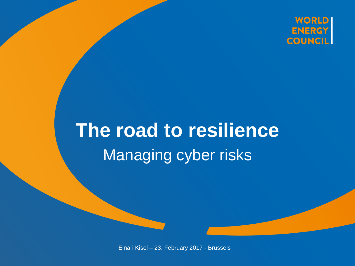

### **The road to resilience** Managing cyber risks

Einari Kisel – 23. February 2017 - Brussels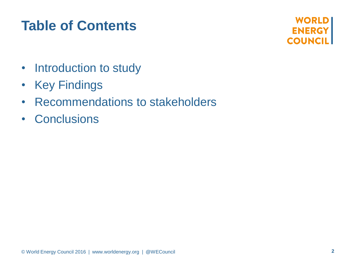### **Table of Contents**

**WORLD ENERGY COUNCIL** 

- Introduction to study
- Key Findings
- Recommendations to stakeholders
- Conclusions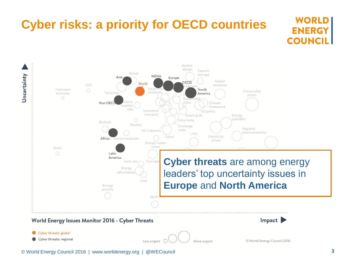## **Cyber risks: a priority for OECD countries**



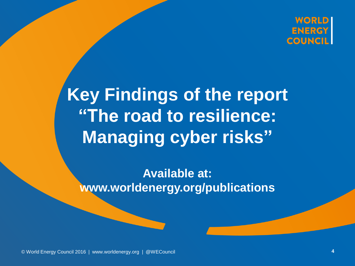

### **Key Findings of the report "The road to resilience: Managing cyber risks"**

**Available at: www.worldenergy.org/publications**

© World Energy Council 2016 | www.worldenergy.org | @WECouncil WECouncil**4**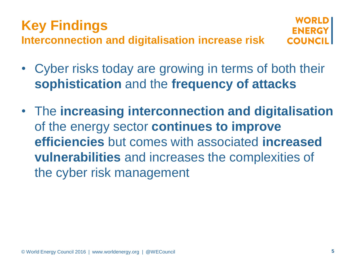#### **Key Findings Interconnection and digitalisation increase risk**

- Cyber risks today are growing in terms of both their **sophistication** and the **frequency of attacks**
- The **increasing interconnection and digitalisation**  of the energy sector **continues to improve efficiencies** but comes with associated **increased vulnerabilities** and increases the complexities of the cyber risk management

**FNFRG COUNC**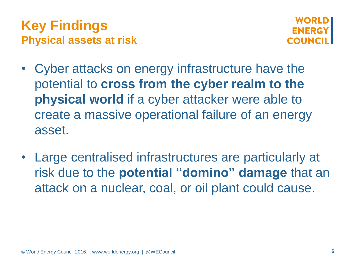### **Key Findings Physical assets at risk**



- Cyber attacks on energy infrastructure have the potential to **cross from the cyber realm to the physical world** if a cyber attacker were able to create a massive operational failure of an energy asset.
- Large centralised infrastructures are particularly at risk due to the **potential "domino" damage** that an attack on a nuclear, coal, or oil plant could cause.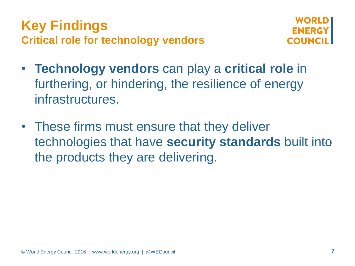### **Key Findings Critical role for technology vendors**



- **Technology vendors** can play a **critical role** in furthering, or hindering, the resilience of energy infrastructures.
- These firms must ensure that they deliver technologies that have **security standards** built into the products they are delivering.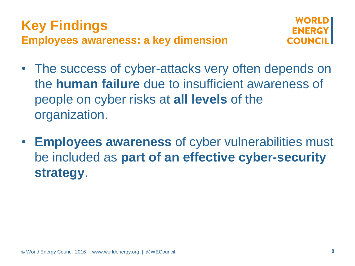### **Key Findings Employees awareness: a key dimension**



- The success of cyber-attacks very often depends on the **human failure** due to insufficient awareness of people on cyber risks at **all levels** of the organization.
- **Employees awareness** of cyber vulnerabilities must be included as **part of an effective cyber-security strategy**.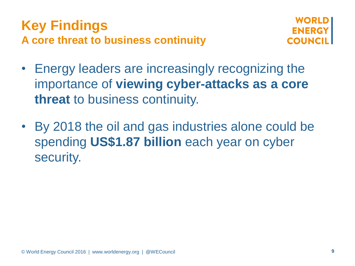### **Key Findings A core threat to business continuity**



- Energy leaders are increasingly recognizing the importance of **viewing cyber-attacks as a core threat** to business continuity.
- By 2018 the oil and gas industries alone could be spending **US\$1.87 billion** each year on cyber security.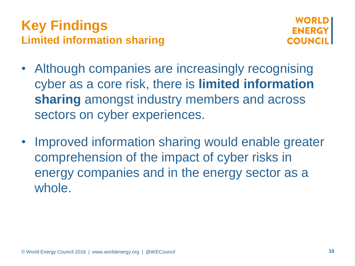



- Although companies are increasingly recognising cyber as a core risk, there is **limited information sharing** amongst industry members and across sectors on cyber experiences.
- Improved information sharing would enable greater comprehension of the impact of cyber risks in energy companies and in the energy sector as a whole.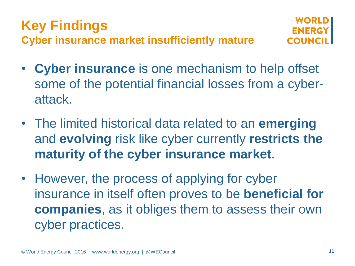

- **Cyber insurance** is one mechanism to help offset some of the potential financial losses from a cyberattack.
- The limited historical data related to an **emerging** and **evolving** risk like cyber currently **restricts the maturity of the cyber insurance market**.
- However, the process of applying for cyber insurance in itself often proves to be **beneficial for companies**, as it obliges them to assess their own cyber practices.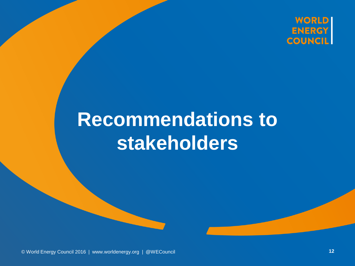

# **Recommendations to stakeholders**

© World Energy Council 2016 | www.worldenergy.org | @WECouncil WECouncil**12**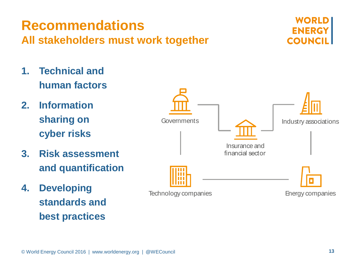#### **Recommendations All stakeholders must work together**

- **1. Technical and human factors**
- **2. Information sharing on cyber risks**
- **3. Risk assessment and quantification**
- **4. Developing standards and best practices**



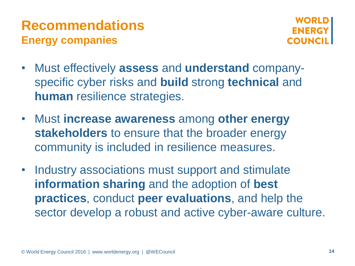### **Recommendations Energy companies**



- Must effectively **assess** and **understand** companyspecific cyber risks and **build** strong **technical** and **human** resilience strategies.
- Must **increase awareness** among **other energy stakeholders** to ensure that the broader energy community is included in resilience measures.
- Industry associations must support and stimulate **information sharing** and the adoption of **best practices**, conduct **peer evaluations**, and help the sector develop a robust and active cyber-aware culture.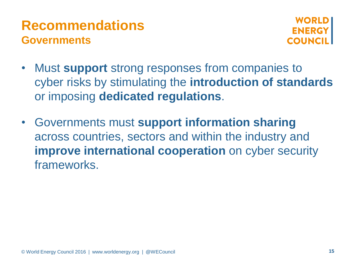### **Recommendations Governments**



- Must **support** strong responses from companies to cyber risks by stimulating the **introduction of standards**  or imposing **dedicated regulations**.
- Governments must **support information sharing**  across countries, sectors and within the industry and **improve international cooperation** on cyber security frameworks.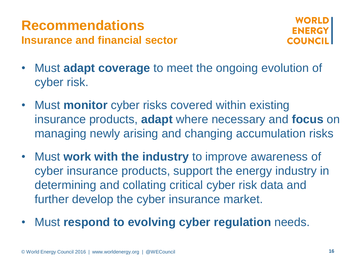### **Recommendations Insurance and financial sector**



- Must **adapt coverage** to meet the ongoing evolution of cyber risk.
- Must **monitor** cyber risks covered within existing insurance products, **adapt** where necessary and **focus** on managing newly arising and changing accumulation risks
- Must **work with the industry** to improve awareness of cyber insurance products, support the energy industry in determining and collating critical cyber risk data and further develop the cyber insurance market.
- Must **respond to evolving cyber regulation** needs.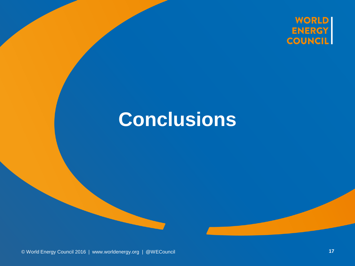

### **Conclusions**

© World Energy Council 2016 | www.worldenergy.org | @WECouncil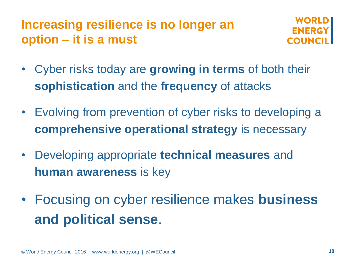### **Increasing resilience is no longer an option – it is a must**



- Cyber risks today are **growing in terms** of both their **sophistication** and the **frequency** of attacks
- Evolving from prevention of cyber risks to developing a **comprehensive operational strategy** is necessary
- Developing appropriate **technical measures** and **human awareness** is key
- Focusing on cyber resilience makes **business and political sense**.